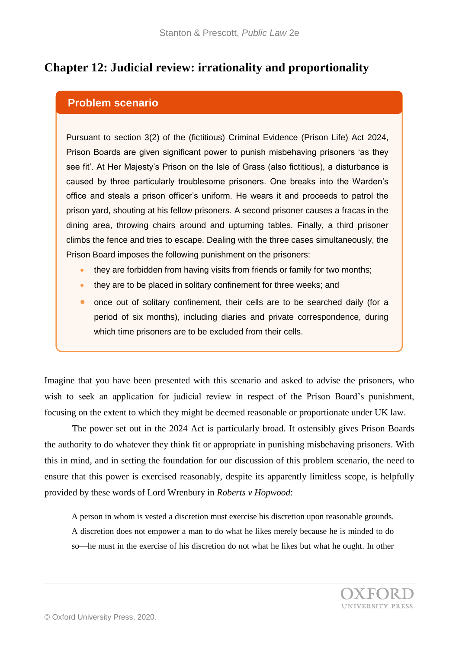## **Chapter 12: Judicial review: irrationality and proportionality**

## **Problem scenario**

Pursuant to section 3(2) of the (fictitious) Criminal Evidence (Prison Life) Act 2024, Prison Boards are given significant power to punish misbehaving prisoners 'as they see fit'. At Her Majesty's Prison on the Isle of Grass (also fictitious), a disturbance is caused by three particularly troublesome prisoners. One breaks into the Warden's office and steals a prison officer's uniform. He wears it and proceeds to patrol the prison yard, shouting at his fellow prisoners. A second prisoner causes a fracas in the dining area, throwing chairs around and upturning tables. Finally, a third prisoner climbs the fence and tries to escape. Dealing with the three cases simultaneously, the Prison Board imposes the following punishment on the prisoners:

- they are forbidden from having visits from friends or family for two months;
- they are to be placed in solitary confinement for three weeks; and
- **•** once out of solitary confinement, their cells are to be searched daily (for a period of six months), including diaries and private correspondence, during which time prisoners are to be excluded from their cells.

Imagine that you have been presented with this scenario and asked to advise the prisoners, who wish to seek an application for judicial review in respect of the Prison Board's punishment, focusing on the extent to which they might be deemed reasonable or proportionate under UK law.

The power set out in the 2024 Act is particularly broad. It ostensibly gives Prison Boards the authority to do whatever they think fit or appropriate in punishing misbehaving prisoners. With this in mind, and in setting the foundation for our discussion of this problem scenario, the need to ensure that this power is exercised reasonably, despite its apparently limitless scope, is helpfully provided by these words of Lord Wrenbury in *Roberts v Hopwood*:

A person in whom is vested a discretion must exercise his discretion upon reasonable grounds. A discretion does not empower a man to do what he likes merely because he is minded to do

so—he must in the exercise of his discretion do not what he likes but what he ought. In other

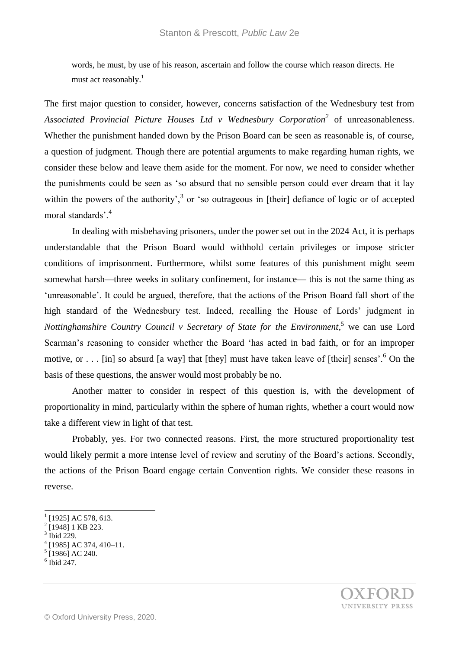words, he must, by use of his reason, ascertain and follow the course which reason directs. He must act reasonably.<sup>1</sup>

The first major question to consider, however, concerns satisfaction of the Wednesbury test from *Associated Provincial Picture Houses Ltd v Wednesbury Corporation<sup>2</sup>* of unreasonableness. Whether the punishment handed down by the Prison Board can be seen as reasonable is, of course, a question of judgment. Though there are potential arguments to make regarding human rights, we consider these below and leave them aside for the moment. For now, we need to consider whether the punishments could be seen as 'so absurd that no sensible person could ever dream that it lay within the powers of the authority',<sup>3</sup> or 'so outrageous in [their] defiance of logic or of accepted moral standards'.<sup>4</sup>

In dealing with misbehaving prisoners, under the power set out in the 2024 Act, it is perhaps understandable that the Prison Board would withhold certain privileges or impose stricter conditions of imprisonment. Furthermore, whilst some features of this punishment might seem somewhat harsh—three weeks in solitary confinement, for instance— this is not the same thing as 'unreasonable'. It could be argued, therefore, that the actions of the Prison Board fall short of the high standard of the Wednesbury test. Indeed, recalling the House of Lords' judgment in *Nottinghamshire Country Council v Secretary of State for the Environment*, <sup>5</sup> we can use Lord Scarman's reasoning to consider whether the Board 'has acted in bad faith, or for an improper motive, or . . . [in] so absurd [a way] that [they] must have taken leave of [their] senses'.<sup>6</sup> On the basis of these questions, the answer would most probably be no.

Another matter to consider in respect of this question is, with the development of proportionality in mind, particularly within the sphere of human rights, whether a court would now take a different view in light of that test.

Probably, yes. For two connected reasons. First, the more structured proportionality test would likely permit a more intense level of review and scrutiny of the Board's actions. Secondly, the actions of the Prison Board engage certain Convention rights. We consider these reasons in reverse.

3 Ibid 229.

l

- 4 [1985] AC 374, 410–11.
- 5 [1986] AC 240.
- $6$  Ibid 247.

 $^{1}$  [1925] AC 578, 613.

<sup>&</sup>lt;sup>2</sup> [1948] 1 KB 223.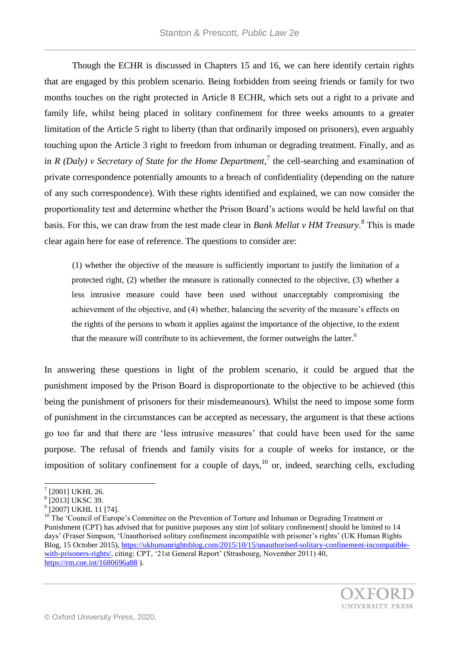Though the ECHR is discussed in Chapters 15 and 16, we can here identify certain rights that are engaged by this problem scenario. Being forbidden from seeing friends or family for two months touches on the right protected in Article 8 ECHR, which sets out a right to a private and family life, whilst being placed in solitary confinement for three weeks amounts to a greater limitation of the Article 5 right to liberty (than that ordinarily imposed on prisoners), even arguably touching upon the Article 3 right to freedom from inhuman or degrading treatment. Finally, and as in *R* (Daly) v Secretary of State for the Home Department,<sup>7</sup> the cell-searching and examination of private correspondence potentially amounts to a breach of confidentiality (depending on the nature of any such correspondence). With these rights identified and explained, we can now consider the proportionality test and determine whether the Prison Board's actions would be held lawful on that basis. For this, we can draw from the test made clear in *Bank Mellat v HM Treasury*. 8 This is made clear again here for ease of reference. The questions to consider are:

(1) whether the objective of the measure is sufficiently important to justify the limitation of a protected right, (2) whether the measure is rationally connected to the objective, (3) whether a less intrusive measure could have been used without unacceptably compromising the achievement of the objective, and (4) whether, balancing the severity of the measure's effects on the rights of the persons to whom it applies against the importance of the objective, to the extent that the measure will contribute to its achievement, the former outweighs the latter.<sup>9</sup>

In answering these questions in light of the problem scenario, it could be argued that the punishment imposed by the Prison Board is disproportionate to the objective to be achieved (this being the punishment of prisoners for their misdemeanours). Whilst the need to impose some form of punishment in the circumstances can be accepted as necessary, the argument is that these actions go too far and that there are 'less intrusive measures' that could have been used for the same purpose. The refusal of friends and family visits for a couple of weeks for instance, or the imposition of solitary confinement for a couple of days,  $^{10}$  or, indeed, searching cells, excluding

l

 $7$  [2001] UKHL 26.

<sup>8</sup> [2013] UKSC 39.

<sup>&</sup>lt;sup>9</sup> [2007] UKHL 11 [74].

<sup>&</sup>lt;sup>10</sup> The 'Council of Europe's Committee on the Prevention of Torture and Inhuman or Degrading Treatment or Punishment (CPT) has advised that for punitive purposes any stint [of solitary confinement] should be limited to 14 days' (Fraser Simpson, 'Unauthorised solitary confinement incompatible with prisoner's rights' (UK Human Rights Blog, 15 October 2015), [https://ukhumanrightsblog.com/2015/10/15/unauthorised-solitary-confinement-incompatible](https://ukhumanrightsblog.com/2015/10/15/unauthorised-solitary-confinement-incompatible-with-prisoners-rights/)[with-prisoners-rights/,](https://ukhumanrightsblog.com/2015/10/15/unauthorised-solitary-confinement-incompatible-with-prisoners-rights/) citing: CPT, '21st General Report' (Strasbourg, November 2011) 40, <https://rm.coe.int/1680696a88> ).